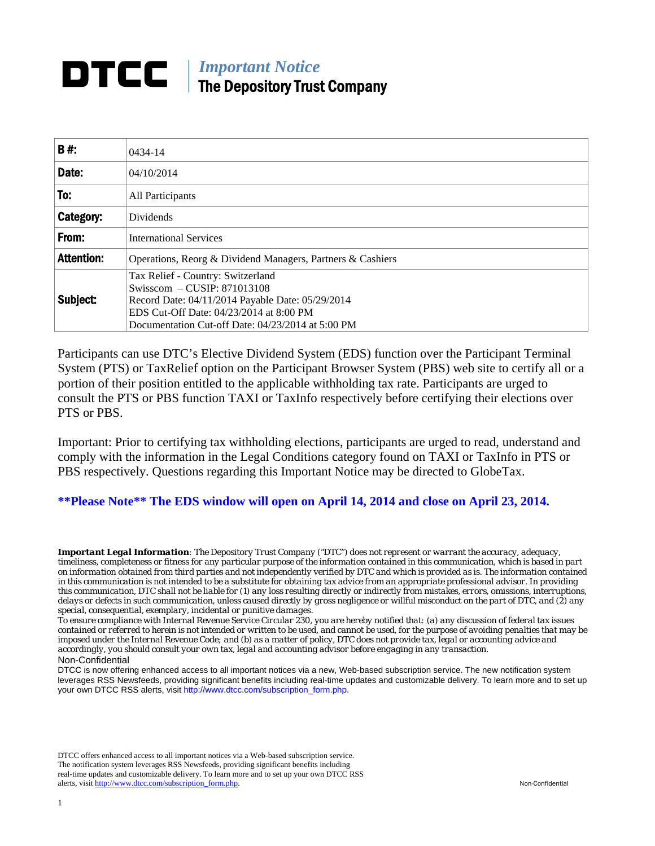# **DTCC** | *Important Notice* The Depository Trust Company

| <b>B#:</b>        | $0434 - 14$                                                                                                                                                                                                          |
|-------------------|----------------------------------------------------------------------------------------------------------------------------------------------------------------------------------------------------------------------|
| Date:             | 04/10/2014                                                                                                                                                                                                           |
| To:               | All Participants                                                                                                                                                                                                     |
| Category:         | Dividends                                                                                                                                                                                                            |
| From:             | <b>International Services</b>                                                                                                                                                                                        |
| <b>Attention:</b> | Operations, Reorg & Dividend Managers, Partners & Cashiers                                                                                                                                                           |
| Subject:          | Tax Relief - Country: Switzerland<br>Swisscom – CUSIP: 871013108<br>Record Date: 04/11/2014 Payable Date: 05/29/2014<br>EDS Cut-Off Date: 04/23/2014 at 8:00 PM<br>Documentation Cut-off Date: 04/23/2014 at 5:00 PM |

Participants can use DTC's Elective Dividend System (EDS) function over the Participant Terminal System (PTS) or TaxRelief option on the Participant Browser System (PBS) web site to certify all or a portion of their position entitled to the applicable withholding tax rate. Participants are urged to consult the PTS or PBS function TAXI or TaxInfo respectively before certifying their elections over PTS or PBS.

Important: Prior to certifying tax withholding elections, participants are urged to read, understand and comply with the information in the Legal Conditions category found on TAXI or TaxInfo in PTS or PBS respectively. Questions regarding this Important Notice may be directed to GlobeTax.

**\*\*Please Note\*\* The EDS window will open on April 14, 2014 and close on April 23, 2014.** 

*Important Legal Information: The Depository Trust Company ("DTC") does not represent or warrant the accuracy, adequacy, timeliness, completeness or fitness for any particular purpose of the information contained in this communication, which is based in part on information obtained from third parties and not independently verified by DTC and which is provided as is. The information contained in this communication is not intended to be a substitute for obtaining tax advice from an appropriate professional advisor. In providing this communication, DTC shall not be liable for (1) any loss resulting directly or indirectly from mistakes, errors, omissions, interruptions, delays or defects in such communication, unless caused directly by gross negligence or willful misconduct on the part of DTC, and (2) any special, consequential, exemplary, incidental or punitive damages.* 

*To ensure compliance with Internal Revenue Service Circular 230, you are hereby notified that: (a) any discussion of federal tax issues contained or referred to herein is not intended or written to be used, and cannot be used, for the purpose of avoiding penalties that may be imposed under the Internal Revenue Code; and (b) as a matter of policy, DTC does not provide tax, legal or accounting advice and accordingly, you should consult your own tax, legal and accounting advisor before engaging in any transaction.* Non-Confidential

DTCC is now offering enhanced access to all important notices via a new, Web-based subscription service. The new notification system leverages RSS Newsfeeds, providing significant benefits including real-time updates and customizable delivery. To learn more and to set up your own DTCC RSS alerts, visit http://www.dtcc.com/subscription\_form.php.

DTCC offers enhanced access to all important notices via a Web-based subscription service. The notification system leverages RSS Newsfeeds, providing significant benefits including real-time updates and customizable delivery. To learn more and to set up your own DTCC RSS alerts, visit http://www.dtcc.com/subscription\_form.php. Non-Confidential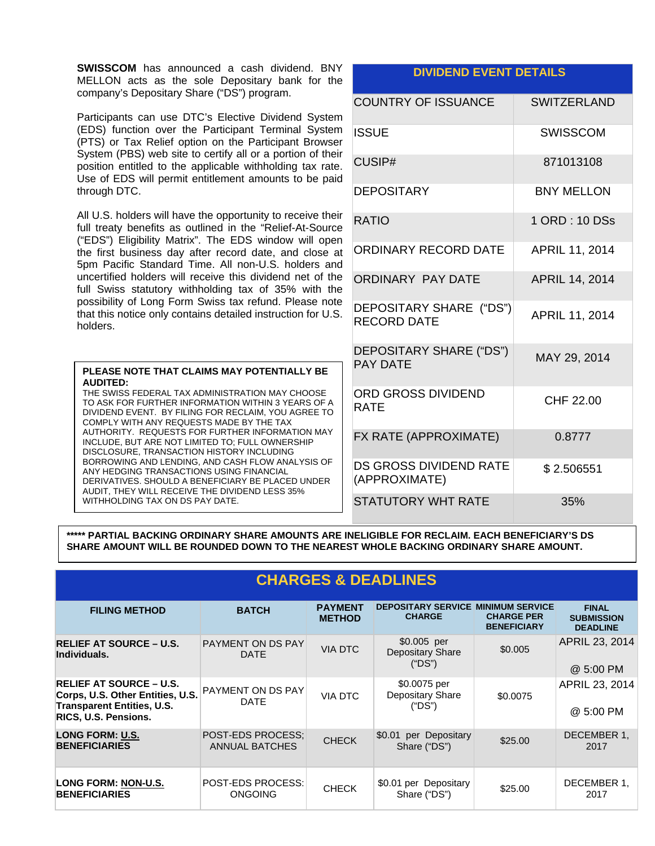**SWISSCOM** has announced a cash dividend. BNY MELLON acts as the sole Depositary bank for the company's Depositary Share ("DS") program.

Participants can use DTC's Elective Dividend System (EDS) function over the Participant Terminal System (PTS) or Tax Relief option on the Participant Browser System (PBS) web site to certify all or a portion of their position entitled to the applicable withholding tax rate. Use of EDS will permit entitlement amounts to be paid through DTC.

All U.S. holders will have the opportunity to receive their full treaty benefits as outlined in the "Relief-At-Source ("EDS") Eligibility Matrix". The EDS window will open the first business day after record date, and close at 5pm Pacific Standard Time. All non-U.S. holders and uncertified holders will receive this dividend net of the full Swiss statutory withholding tax of 35% with the possibility of Long Form Swiss tax refund. Please note that this notice only contains detailed instruction for U.S. holders.

## **PLEASE NOTE THAT CLAIMS MAY POTENTIALLY BE AUDITED:**

THE SWISS FEDERAL TAX ADMINISTRATION MAY CHOOSE TO ASK FOR FURTHER INFORMATION WITHIN 3 YEARS OF A DIVIDEND EVENT. BY FILING FOR RECLAIM, YOU AGREE TO COMPLY WITH ANY REQUESTS MADE BY THE TAX AUTHORITY. REQUESTS FOR FURTHER INFORMATION MAY INCLUDE, BUT ARE NOT LIMITED TO; FULL OWNERSHIP DISCLOSURE, TRANSACTION HISTORY INCLUDING BORROWING AND LENDING, AND CASH FLOW ANALYSIS OF ANY HEDGING TRANSACTIONS USING FINANCIAL DERIVATIVES. SHOULD A BENEFICIARY BE PLACED UNDER AUDIT, THEY WILL RECEIVE THE DIVIDEND LESS 35% WITHHOLDING TAX ON DS PAY DATE.

## **DIVIDEND EVENT DETAILS**

| <b>COUNTRY OF ISSUANCE</b>                    | <b>SWITZERLAND</b>    |
|-----------------------------------------------|-----------------------|
| ISSUE                                         | <b>SWISSCOM</b>       |
| CUSIP#                                        | 871013108             |
| DEPOSITARY                                    | <b>BNY MELLON</b>     |
| <b>RATIO</b>                                  | 1 ORD: 10 DSs         |
| ORDINARY RECORD DATE                          | APRIL 11, 2014        |
| <b>ORDINARY PAY DATE</b>                      | <b>APRIL 14, 2014</b> |
| DEPOSITARY SHARE ("DS")<br><b>RECORD DATE</b> | APRIL 11, 2014        |
| DEPOSITARY SHARE ("DS")<br><b>PAY DATE</b>    | MAY 29, 2014          |
| <b>ORD GROSS DIVIDEND</b><br><b>RATE</b>      | CHF 22.00             |
| FX RATE (APPROXIMATE)                         | 0.8777                |
| DS GROSS DIVIDEND RATE<br>(APPROXIMATE)       | \$2.506551            |
| STATUTORY WHT RATE                            | 35%                   |

**\*\*\*\*\* PARTIAL BACKING ORDINARY SHARE AMOUNTS ARE INELIGIBLE FOR RECLAIM. EACH BENEFICIARY'S DS SHARE AMOUNT WILL BE ROUNDED DOWN TO THE NEAREST WHOLE BACKING ORDINARY SHARE AMOUNT.** 

| <b>CHARGES &amp; DEADLINES</b>                                                                                                         |                                                   |                                 |                                                            |                                         |                                                      |
|----------------------------------------------------------------------------------------------------------------------------------------|---------------------------------------------------|---------------------------------|------------------------------------------------------------|-----------------------------------------|------------------------------------------------------|
| <b>FILING METHOD</b>                                                                                                                   | <b>BATCH</b>                                      | <b>PAYMENT</b><br><b>METHOD</b> | <b>DEPOSITARY SERVICE MINIMUM SERVICE</b><br><b>CHARGE</b> | <b>CHARGE PER</b><br><b>BENEFICIARY</b> | <b>FINAL</b><br><b>SUBMISSION</b><br><b>DEADLINE</b> |
| <b>RELIEF AT SOURCE - U.S.</b><br>Individuals.                                                                                         | PAYMENT ON DS PAY<br><b>DATE</b>                  | <b>VIA DTC</b>                  | \$0.005 per<br><b>Depositary Share</b><br>("DS")           | \$0.005                                 | APRIL 23, 2014<br>@ 5:00 PM                          |
| <b>RELIEF AT SOURCE – U.S.</b><br>Corps, U.S. Other Entities, U.S.<br><b>Transparent Entities, U.S.</b><br><b>RICS, U.S. Pensions.</b> | <b>PAYMENT ON DS PAY</b><br><b>DATE</b>           | <b>VIA DTC</b>                  | \$0.0075 per<br>Depositary Share<br>("DS")                 | \$0.0075                                | APRIL 23, 2014<br>@ 5:00 PM                          |
| <b>LONG FORM: U.S.</b><br><b>BENEFICIARIES</b>                                                                                         | <b>POST-EDS PROCESS:</b><br><b>ANNUAL BATCHES</b> | <b>CHECK</b>                    | \$0.01 per Depositary<br>Share ("DS")                      | \$25.00                                 | DECEMBER 1,<br>2017                                  |
| LONG FORM: NON-U.S.<br><b>BENEFICIARIES</b>                                                                                            | <b>POST-EDS PROCESS:</b><br><b>ONGOING</b>        | <b>CHECK</b>                    | \$0.01 per Depositary<br>Share ("DS")                      | \$25.00                                 | DECEMBER 1,<br>2017                                  |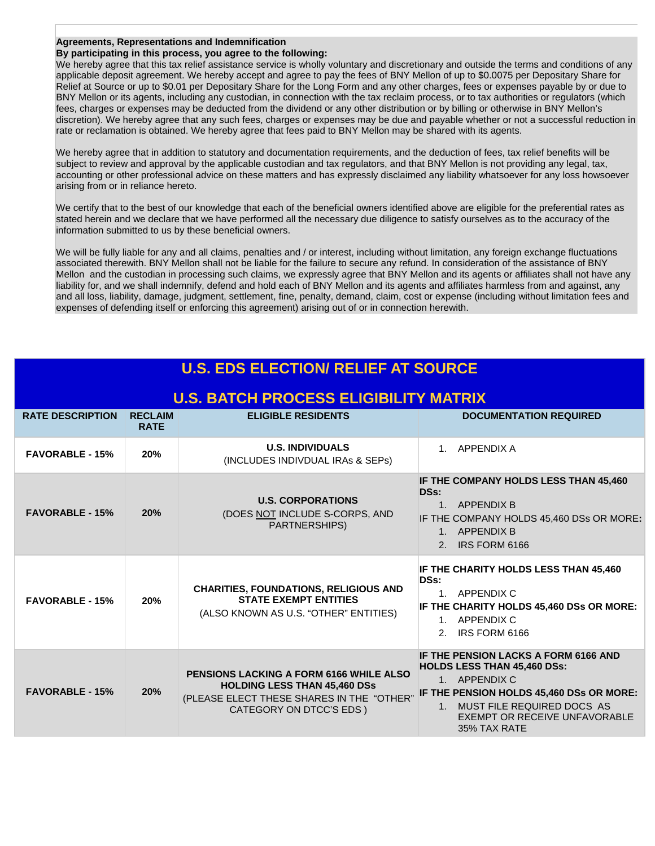### **Agreements, Representations and Indemnification**

#### **By participating in this process, you agree to the following:**

We hereby agree that this tax relief assistance service is wholly voluntary and discretionary and outside the terms and conditions of any applicable deposit agreement. We hereby accept and agree to pay the fees of BNY Mellon of up to \$0.0075 per Depositary Share for Relief at Source or up to \$0.01 per Depositary Share for the Long Form and any other charges, fees or expenses payable by or due to BNY Mellon or its agents, including any custodian, in connection with the tax reclaim process, or to tax authorities or regulators (which fees, charges or expenses may be deducted from the dividend or any other distribution or by billing or otherwise in BNY Mellon's discretion). We hereby agree that any such fees, charges or expenses may be due and payable whether or not a successful reduction in rate or reclamation is obtained. We hereby agree that fees paid to BNY Mellon may be shared with its agents.

We hereby agree that in addition to statutory and documentation requirements, and the deduction of fees, tax relief benefits will be subject to review and approval by the applicable custodian and tax regulators, and that BNY Mellon is not providing any legal, tax, accounting or other professional advice on these matters and has expressly disclaimed any liability whatsoever for any loss howsoever arising from or in reliance hereto.

We certify that to the best of our knowledge that each of the beneficial owners identified above are eligible for the preferential rates as stated herein and we declare that we have performed all the necessary due diligence to satisfy ourselves as to the accuracy of the information submitted to us by these beneficial owners.

We will be fully liable for any and all claims, penalties and / or interest, including without limitation, any foreign exchange fluctuations associated therewith. BNY Mellon shall not be liable for the failure to secure any refund. In consideration of the assistance of BNY Mellon and the custodian in processing such claims, we expressly agree that BNY Mellon and its agents or affiliates shall not have any liability for, and we shall indemnify, defend and hold each of BNY Mellon and its agents and affiliates harmless from and against, any and all loss, liability, damage, judgment, settlement, fine, penalty, demand, claim, cost or expense (including without limitation fees and expenses of defending itself or enforcing this agreement) arising out of or in connection herewith.

| <b>U.S. EDS ELECTION/ RELIEF AT SOURCE</b>   |                               |                                                                                                                                                         |                                                                                                                                                                                                                           |  |  |
|----------------------------------------------|-------------------------------|---------------------------------------------------------------------------------------------------------------------------------------------------------|---------------------------------------------------------------------------------------------------------------------------------------------------------------------------------------------------------------------------|--|--|
| <b>U.S. BATCH PROCESS ELIGIBILITY MATRIX</b> |                               |                                                                                                                                                         |                                                                                                                                                                                                                           |  |  |
| <b>RATE DESCRIPTION</b>                      | <b>RECLAIM</b><br><b>RATE</b> | <b>ELIGIBLE RESIDENTS</b>                                                                                                                               | <b>DOCUMENTATION REQUIRED</b>                                                                                                                                                                                             |  |  |
| <b>FAVORABLE - 15%</b>                       | 20%                           | <b>U.S. INDIVIDUALS</b><br>(INCLUDES INDIVDUAL IRAs & SEPS)                                                                                             | 1. APPENDIX A                                                                                                                                                                                                             |  |  |
| <b>FAVORABLE - 15%</b>                       | 20%                           | <b>U.S. CORPORATIONS</b><br>(DOES NOT INCLUDE S-CORPS, AND<br>PARTNERSHIPS)                                                                             | IF THE COMPANY HOLDS LESS THAN 45,460<br>DSs:<br>1. APPENDIX B<br>IF THE COMPANY HOLDS 45,460 DSs OR MORE:<br>1. APPENDIX B<br>2. IRS FORM 6166                                                                           |  |  |
| <b>FAVORABLE - 15%</b>                       | 20%                           | <b>CHARITIES, FOUNDATIONS, RELIGIOUS AND</b><br><b>STATE EXEMPT ENTITIES</b><br>(ALSO KNOWN AS U.S. "OTHER" ENTITIES)                                   | IF THE CHARITY HOLDS LESS THAN 45,460<br>DSs:<br>1. APPENDIX C<br>IF THE CHARITY HOLDS 45,460 DSs OR MORE:<br>1. APPENDIX C<br>IRS FORM 6166<br>2.                                                                        |  |  |
| <b>FAVORABLE - 15%</b>                       | 20%                           | PENSIONS LACKING A FORM 6166 WHILE ALSO<br><b>HOLDING LESS THAN 45,460 DSs</b><br>(PLEASE ELECT THESE SHARES IN THE "OTHER"<br>CATEGORY ON DTCC'S EDS ) | IF THE PENSION LACKS A FORM 6166 AND<br><b>HOLDS LESS THAN 45,460 DSs:</b><br>1. APPENDIX C<br>IF THE PENSION HOLDS 45,460 DSs OR MORE:<br>1. MUST FILE REQUIRED DOCS AS<br>EXEMPT OR RECEIVE UNFAVORABLE<br>35% TAX RATE |  |  |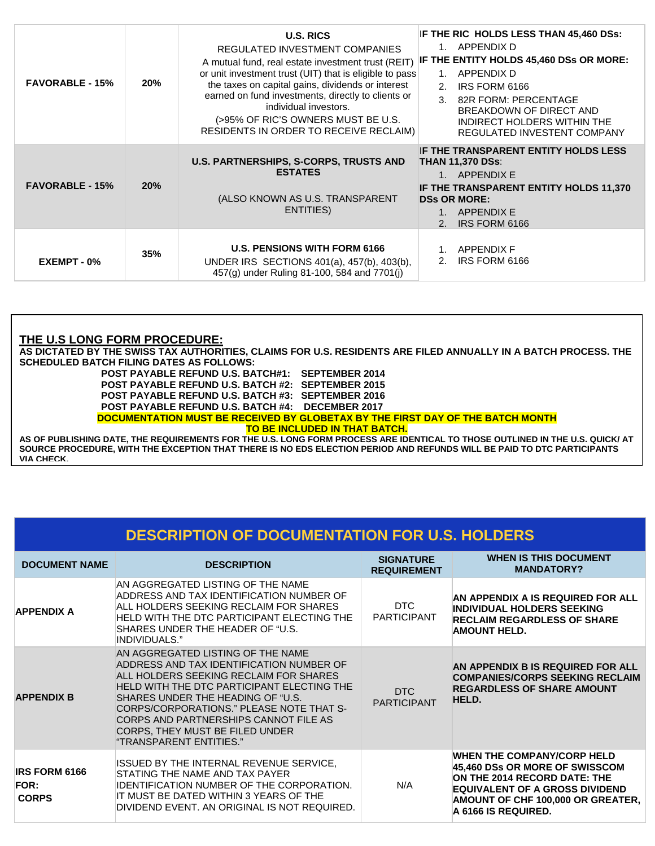| <b>FAVORABLE - 15%</b> | 20% | <b>U.S. RICS</b><br>REGULATED INVESTMENT COMPANIES<br>A mutual fund, real estate investment trust (REIT)<br>or unit investment trust (UIT) that is eligible to pass<br>the taxes on capital gains, dividends or interest<br>earned on fund investments, directly to clients or<br>individual investors.<br>(>95% OF RIC'S OWNERS MUST BE U.S.<br>RESIDENTS IN ORDER TO RECEIVE RECLAIM) | IF THE RIC HOLDS LESS THAN 45,460 DSs:<br>1. APPENDIX D<br>IF THE ENTITY HOLDS 45,460 DSs OR MORE:<br>APPENDIX D<br>$1_{-}$<br>2.<br>IRS FORM 6166<br>$\mathcal{R}$<br>82R FORM: PERCENTAGE<br>BREAKDOWN OF DIRECT AND<br>INDIRECT HOLDERS WITHIN THE<br>REGULATED INVESTENT COMPANY |
|------------------------|-----|-----------------------------------------------------------------------------------------------------------------------------------------------------------------------------------------------------------------------------------------------------------------------------------------------------------------------------------------------------------------------------------------|--------------------------------------------------------------------------------------------------------------------------------------------------------------------------------------------------------------------------------------------------------------------------------------|
| <b>FAVORABLE - 15%</b> | 20% | U.S. PARTNERSHIPS, S-CORPS, TRUSTS AND<br><b>ESTATES</b><br>(ALSO KNOWN AS U.S. TRANSPARENT<br>ENTITIES)                                                                                                                                                                                                                                                                                | IF THE TRANSPARENT ENTITY HOLDS LESS<br><b>THAN 11,370 DSs:</b><br>1. APPENDIX E<br>IF THE TRANSPARENT ENTITY HOLDS 11,370<br><b>DSs OR MORE:</b><br>APPENDIX E<br>IRS FORM 6166<br>$\mathcal{P}$                                                                                    |
| EXEMPT - 0%            | 35% | <b>U.S. PENSIONS WITH FORM 6166</b><br>UNDER IRS SECTIONS 401(a), 457(b), 403(b),<br>457(g) under Ruling 81-100, 584 and 7701(i)                                                                                                                                                                                                                                                        | <b>APPENDIX F</b><br>IRS FORM 6166<br>2.                                                                                                                                                                                                                                             |

## **THE U.S LONG FORM PROCEDURE:**

**AS DICTATED BY THE SWISS TAX AUTHORITIES, CLAIMS FOR U.S. RESIDENTS ARE FILED ANNUALLY IN A BATCH PROCESS. THE SCHEDULED BATCH FILING DATES AS FOLLOWS:** 

**POST PAYABLE REFUND U.S. BATCH#1: SEPTEMBER 2014 POST PAYABLE REFUND U.S. BATCH #2: SEPTEMBER 2015 POST PAYABLE REFUND U.S. BATCH #3: SEPTEMBER 2016 POST PAYABLE REFUND U.S. BATCH #4: DECEMBER 2017** 

**DOCUMENTATION MUST BE RECEIVED BY GLOBETAX BY THE FIRST DAY OF THE BATCH MONTH** 

**TO BE INCLUDED IN THAT BATCH.** 

**AS OF PUBLISHING DATE, THE REQUIREMENTS FOR THE U.S. LONG FORM PROCESS ARE IDENTICAL TO THOSE OUTLINED IN THE U.S. QUICK/ AT SOURCE PROCEDURE, WITH THE EXCEPTION THAT THERE IS NO EDS ELECTION PERIOD AND REFUNDS WILL BE PAID TO DTC PARTICIPANTS VIA CHECK.**

# **DESCRIPTION OF DOCUMENTATION FOR U.S. HOLDERS**

| <b>DOCUMENT NAME</b>                                | <b>DESCRIPTION</b>                                                                                                                                                                                                                                                                                                                                            | <b>SIGNATURE</b><br><b>REQUIREMENT</b> | <b>WHEN IS THIS DOCUMENT</b><br><b>MANDATORY?</b>                                                                                                                                                        |
|-----------------------------------------------------|---------------------------------------------------------------------------------------------------------------------------------------------------------------------------------------------------------------------------------------------------------------------------------------------------------------------------------------------------------------|----------------------------------------|----------------------------------------------------------------------------------------------------------------------------------------------------------------------------------------------------------|
| <b>APPENDIX A</b>                                   | IAN AGGREGATED LISTING OF THE NAME<br>ADDRESS AND TAX IDENTIFICATION NUMBER OF<br>ALL HOLDERS SEEKING RECLAIM FOR SHARES<br>HELD WITH THE DTC PARTICIPANT ELECTING THE<br>SHARES UNDER THE HEADER OF "U.S.<br>INDIVIDUALS."                                                                                                                                   | DTC<br><b>PARTICIPANT</b>              | AN APPENDIX A IS REQUIRED FOR ALL<br><b>INDIVIDUAL HOLDERS SEEKING</b><br><b>RECLAIM REGARDLESS OF SHARE</b><br><b>AMOUNT HELD.</b>                                                                      |
| <b>APPENDIX B</b>                                   | AN AGGREGATED LISTING OF THE NAME<br>ADDRESS AND TAX IDENTIFICATION NUMBER OF<br>ALL HOLDERS SEEKING RECLAIM FOR SHARES<br>HELD WITH THE DTC PARTICIPANT ELECTING THE<br>SHARES UNDER THE HEADING OF "U.S.<br>CORPS/CORPORATIONS." PLEASE NOTE THAT S-<br>CORPS AND PARTNERSHIPS CANNOT FILE AS<br>CORPS, THEY MUST BE FILED UNDER<br>"TRANSPARENT ENTITIES." | DTC<br><b>PARTICIPANT</b>              | AN APPENDIX B IS REQUIRED FOR ALL<br><b>COMPANIES/CORPS SEEKING RECLAIM</b><br><b>REGARDLESS OF SHARE AMOUNT</b><br>HELD.                                                                                |
| <b>IRS FORM 6166</b><br><b>FOR:</b><br><b>CORPS</b> | ISSUED BY THE INTERNAL REVENUE SERVICE,<br>STATING THE NAME AND TAX PAYER<br>IDENTIFICATION NUMBER OF THE CORPORATION.<br>IT MUST BE DATED WITHIN 3 YEARS OF THE<br>DIVIDEND EVENT. AN ORIGINAL IS NOT REQUIRED.                                                                                                                                              | N/A                                    | <b>WHEN THE COMPANY/CORP HELD</b><br>45,460 DSs OR MORE OF SWISSCOM<br>ON THE 2014 RECORD DATE: THE<br><b>EQUIVALENT OF A GROSS DIVIDEND</b><br>AMOUNT OF CHF 100,000 OR GREATER,<br>A 6166 IS REQUIRED. |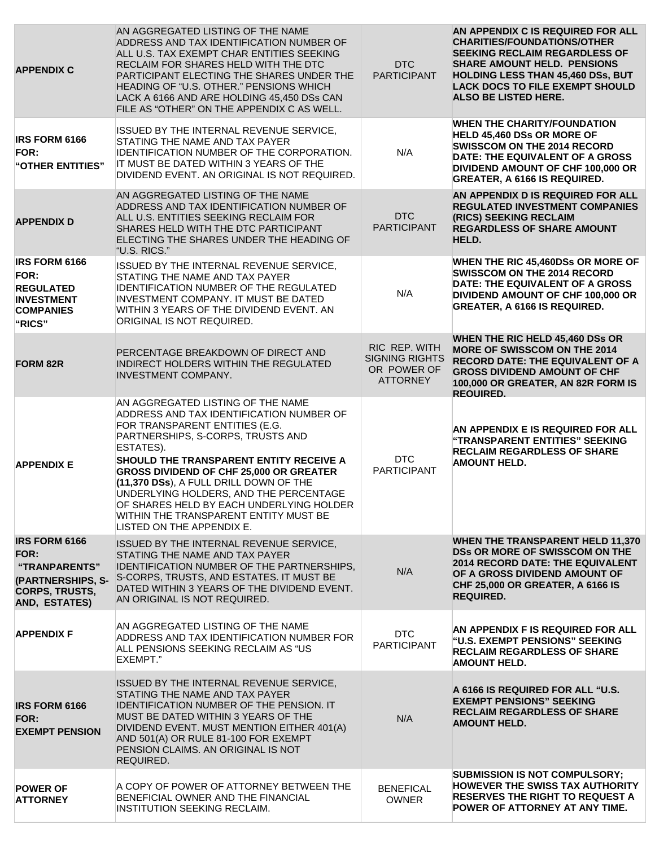| <b>APPENDIX C</b>                                                                                            | AN AGGREGATED LISTING OF THE NAME<br>ADDRESS AND TAX IDENTIFICATION NUMBER OF<br>ALL U.S. TAX EXEMPT CHAR ENTITIES SEEKING<br>RECLAIM FOR SHARES HELD WITH THE DTC<br>PARTICIPANT ELECTING THE SHARES UNDER THE<br>HEADING OF "U.S. OTHER." PENSIONS WHICH<br>LACK A 6166 AND ARE HOLDING 45,450 DSs CAN<br>FILE AS "OTHER" ON THE APPENDIX C AS WELL.                                                                                                        | <b>DTC</b><br><b>PARTICIPANT</b>                                         | AN APPENDIX C IS REQUIRED FOR ALL<br><b>CHARITIES/FOUNDATIONS/OTHER</b><br><b>SEEKING RECLAIM REGARDLESS OF</b><br><b>SHARE AMOUNT HELD. PENSIONS</b><br><b>HOLDING LESS THAN 45,460 DSs, BUT</b><br><b>LACK DOCS TO FILE EXEMPT SHOULD</b><br>ALSO BE LISTED HERE. |
|--------------------------------------------------------------------------------------------------------------|---------------------------------------------------------------------------------------------------------------------------------------------------------------------------------------------------------------------------------------------------------------------------------------------------------------------------------------------------------------------------------------------------------------------------------------------------------------|--------------------------------------------------------------------------|---------------------------------------------------------------------------------------------------------------------------------------------------------------------------------------------------------------------------------------------------------------------|
| <b>IRS FORM 6166</b><br><b>FOR:</b><br>"OTHER ENTITIES"                                                      | ISSUED BY THE INTERNAL REVENUE SERVICE,<br>STATING THE NAME AND TAX PAYER<br>IDENTIFICATION NUMBER OF THE CORPORATION.<br>IT MUST BE DATED WITHIN 3 YEARS OF THE<br>DIVIDEND EVENT. AN ORIGINAL IS NOT REQUIRED.                                                                                                                                                                                                                                              | N/A                                                                      | <b>WHEN THE CHARITY/FOUNDATION</b><br><b>HELD 45,460 DSs OR MORE OF</b><br>SWISSCOM ON THE 2014 RECORD<br>DATE: THE EQUIVALENT OF A GROSS<br>DIVIDEND AMOUNT OF CHF 100,000 OR<br><b>GREATER, A 6166 IS REQUIRED.</b>                                               |
| <b>APPENDIX D</b>                                                                                            | AN AGGREGATED LISTING OF THE NAME<br>ADDRESS AND TAX IDENTIFICATION NUMBER OF<br>ALL U.S. ENTITIES SEEKING RECLAIM FOR<br>SHARES HELD WITH THE DTC PARTICIPANT<br>ELECTING THE SHARES UNDER THE HEADING OF<br>"U.S. RICS."                                                                                                                                                                                                                                    | <b>DTC</b><br><b>PARTICIPANT</b>                                         | AN APPENDIX D IS REQUIRED FOR ALL<br><b>REGULATED INVESTMENT COMPANIES</b><br>(RICS) SEEKING RECLAIM<br><b>REGARDLESS OF SHARE AMOUNT</b><br>HELD.                                                                                                                  |
| <b>IRS FORM 6166</b><br>FOR:<br><b>REGULATED</b><br><b>INVESTMENT</b><br><b>COMPANIES</b><br>"RICS"          | ISSUED BY THE INTERNAL REVENUE SERVICE,<br>STATING THE NAME AND TAX PAYER<br><b>IDENTIFICATION NUMBER OF THE REGULATED</b><br>INVESTMENT COMPANY. IT MUST BE DATED<br>WITHIN 3 YEARS OF THE DIVIDEND EVENT. AN<br>ORIGINAL IS NOT REQUIRED.                                                                                                                                                                                                                   | N/A                                                                      | WHEN THE RIC 45,460DSs OR MORE OF<br><b>SWISSCOM ON THE 2014 RECORD</b><br>DATE: THE EQUIVALENT OF A GROSS<br>DIVIDEND AMOUNT OF CHF 100,000 OR<br><b>GREATER, A 6166 IS REQUIRED.</b>                                                                              |
| <b>FORM 82R</b>                                                                                              | PERCENTAGE BREAKDOWN OF DIRECT AND<br>INDIRECT HOLDERS WITHIN THE REGULATED<br>INVESTMENT COMPANY.                                                                                                                                                                                                                                                                                                                                                            | RIC REP. WITH<br><b>SIGNING RIGHTS</b><br>OR POWER OF<br><b>ATTORNEY</b> | WHEN THE RIC HELD 45,460 DSs OR<br><b>MORE OF SWISSCOM ON THE 2014</b><br><b>RECORD DATE: THE EQUIVALENT OF A</b><br><b>GROSS DIVIDEND AMOUNT OF CHF</b><br>100,000 OR GREATER, AN 82R FORM IS<br><b>REQUIRED.</b>                                                  |
| <b>APPENDIX E</b>                                                                                            | AN AGGREGATED LISTING OF THE NAME<br>ADDRESS AND TAX IDENTIFICATION NUMBER OF<br>FOR TRANSPARENT ENTITIES (E.G.<br>PARTNERSHIPS, S-CORPS, TRUSTS AND<br>ESTATES).<br>SHOULD THE TRANSPARENT ENTITY RECEIVE A<br>GROSS DIVIDEND OF CHF 25,000 OR GREATER<br>(11,370 DSs), A FULL DRILL DOWN OF THE<br>UNDERLYING HOLDERS, AND THE PERCENTAGE<br>OF SHARES HELD BY EACH UNDERLYING HOLDER<br>WITHIN THE TRANSPARENT ENTITY MUST BE<br>LISTED ON THE APPENDIX E. | <b>DTC</b><br><b>PARTICIPANT</b>                                         | AN APPENDIX E IS REQUIRED FOR ALL<br>"TRANSPARENT ENTITIES" SEEKING<br><b>RECLAIM REGARDLESS OF SHARE</b><br><b>AMOUNT HELD.</b>                                                                                                                                    |
| <b>IRS FORM 6166</b><br>FOR:<br>"TRANPARENTS"<br>(PARTNERSHIPS, S-<br><b>CORPS, TRUSTS,</b><br>AND, ESTATES) | ISSUED BY THE INTERNAL REVENUE SERVICE,<br>STATING THE NAME AND TAX PAYER<br><b>IDENTIFICATION NUMBER OF THE PARTNERSHIPS.</b><br>S-CORPS, TRUSTS, AND ESTATES. IT MUST BE<br>DATED WITHIN 3 YEARS OF THE DIVIDEND EVENT.<br>AN ORIGINAL IS NOT REQUIRED.                                                                                                                                                                                                     | N/A                                                                      | <b>WHEN THE TRANSPARENT HELD 11,370</b><br>DSs OR MORE OF SWISSCOM ON THE<br><b>2014 RECORD DATE: THE EQUIVALENT</b><br>OF A GROSS DIVIDEND AMOUNT OF<br>CHF 25,000 OR GREATER, A 6166 IS<br><b>REQUIRED.</b>                                                       |
| <b>APPENDIX F</b>                                                                                            | AN AGGREGATED LISTING OF THE NAME<br>ADDRESS AND TAX IDENTIFICATION NUMBER FOR<br>ALL PENSIONS SEEKING RECLAIM AS "US<br>EXEMPT."                                                                                                                                                                                                                                                                                                                             | <b>DTC</b><br><b>PARTICIPANT</b>                                         | AN APPENDIX F IS REQUIRED FOR ALL<br>"U.S. EXEMPT PENSIONS" SEEKING<br><b>RECLAIM REGARDLESS OF SHARE</b><br><b>AMOUNT HELD.</b>                                                                                                                                    |
| <b>IRS FORM 6166</b><br>FOR:<br><b>EXEMPT PENSION</b>                                                        | ISSUED BY THE INTERNAL REVENUE SERVICE,<br>STATING THE NAME AND TAX PAYER<br><b>IDENTIFICATION NUMBER OF THE PENSION. IT</b><br>MUST BE DATED WITHIN 3 YEARS OF THE<br>DIVIDEND EVENT. MUST MENTION EITHER 401(A)<br>AND 501(A) OR RULE 81-100 FOR EXEMPT<br>PENSION CLAIMS. AN ORIGINAL IS NOT<br>REQUIRED.                                                                                                                                                  | N/A                                                                      | A 6166 IS REQUIRED FOR ALL "U.S.<br><b>EXEMPT PENSIONS" SEEKING</b><br><b>RECLAIM REGARDLESS OF SHARE</b><br><b>AMOUNT HELD.</b>                                                                                                                                    |
| <b>POWER OF</b><br><b>ATTORNEY</b>                                                                           | A COPY OF POWER OF ATTORNEY BETWEEN THE<br>BENEFICIAL OWNER AND THE FINANCIAL<br><b>INSTITUTION SEEKING RECLAIM.</b>                                                                                                                                                                                                                                                                                                                                          | <b>BENEFICAL</b><br><b>OWNER</b>                                         | <b>SUBMISSION IS NOT COMPULSORY;</b><br><b>HOWEVER THE SWISS TAX AUTHORITY</b><br><b>RESERVES THE RIGHT TO REQUEST A</b><br>POWER OF ATTORNEY AT ANY TIME.                                                                                                          |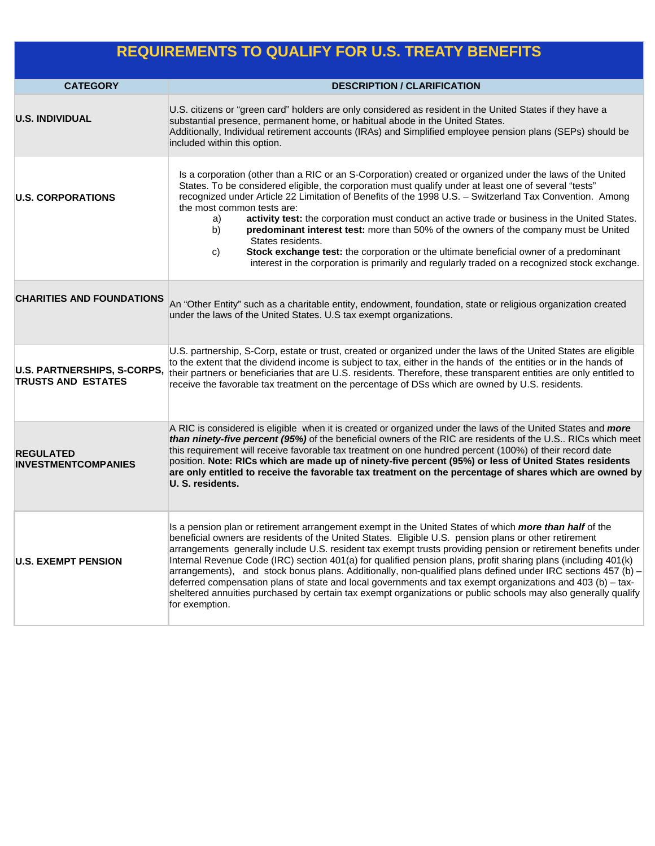# **REQUIREMENTS TO QUALIFY FOR U.S. TREATY BENEFITS**

| <b>CATEGORY</b>                                          | <b>DESCRIPTION / CLARIFICATION</b>                                                                                                                                                                                                                                                                                                                                                                                                                                                                                                                                                                                                                                                                                                                                                                                   |  |
|----------------------------------------------------------|----------------------------------------------------------------------------------------------------------------------------------------------------------------------------------------------------------------------------------------------------------------------------------------------------------------------------------------------------------------------------------------------------------------------------------------------------------------------------------------------------------------------------------------------------------------------------------------------------------------------------------------------------------------------------------------------------------------------------------------------------------------------------------------------------------------------|--|
| <b>U.S. INDIVIDUAL</b>                                   | U.S. citizens or "green card" holders are only considered as resident in the United States if they have a<br>substantial presence, permanent home, or habitual abode in the United States.<br>Additionally, Individual retirement accounts (IRAs) and Simplified employee pension plans (SEPs) should be<br>included within this option.                                                                                                                                                                                                                                                                                                                                                                                                                                                                             |  |
| <b>U.S. CORPORATIONS</b>                                 | Is a corporation (other than a RIC or an S-Corporation) created or organized under the laws of the United<br>States. To be considered eligible, the corporation must qualify under at least one of several "tests"<br>recognized under Article 22 Limitation of Benefits of the 1998 U.S. - Switzerland Tax Convention. Among<br>the most common tests are:<br>activity test: the corporation must conduct an active trade or business in the United States.<br>a)<br>predominant interest test: more than 50% of the owners of the company must be United<br>b)<br>States residents.<br>Stock exchange test: the corporation or the ultimate beneficial owner of a predominant<br>C)<br>interest in the corporation is primarily and regularly traded on a recognized stock exchange.                               |  |
| <b>CHARITIES AND FOUNDATIONS</b>                         | An "Other Entity" such as a charitable entity, endowment, foundation, state or religious organization created<br>under the laws of the United States. U.S tax exempt organizations.                                                                                                                                                                                                                                                                                                                                                                                                                                                                                                                                                                                                                                  |  |
| U.S. PARTNERSHIPS, S-CORPS,<br><b>TRUSTS AND ESTATES</b> | U.S. partnership, S-Corp, estate or trust, created or organized under the laws of the United States are eligible<br>to the extent that the dividend income is subject to tax, either in the hands of the entities or in the hands of<br>their partners or beneficiaries that are U.S. residents. Therefore, these transparent entities are only entitled to<br>receive the favorable tax treatment on the percentage of DSs which are owned by U.S. residents.                                                                                                                                                                                                                                                                                                                                                       |  |
| <b>REGULATED</b><br><b>INVESTMENTCOMPANIES</b>           | A RIC is considered is eligible when it is created or organized under the laws of the United States and <i>more</i><br>than ninety-five percent (95%) of the beneficial owners of the RIC are residents of the U.S RICs which meet<br>this requirement will receive favorable tax treatment on one hundred percent (100%) of their record date<br>position. Note: RICs which are made up of ninety-five percent (95%) or less of United States residents<br>are only entitled to receive the favorable tax treatment on the percentage of shares which are owned by<br>U. S. residents.                                                                                                                                                                                                                              |  |
| <b>U.S. EXEMPT PENSION</b>                               | Is a pension plan or retirement arrangement exempt in the United States of which more than half of the<br>beneficial owners are residents of the United States. Eligible U.S. pension plans or other retirement<br>arrangements generally include U.S. resident tax exempt trusts providing pension or retirement benefits under<br>Internal Revenue Code (IRC) section 401(a) for qualified pension plans, profit sharing plans (including 401(k)<br>arrangements), and stock bonus plans. Additionally, non-qualified plans defined under IRC sections 457 (b) -<br>deferred compensation plans of state and local governments and tax exempt organizations and 403 (b) - tax-<br>sheltered annuities purchased by certain tax exempt organizations or public schools may also generally qualify<br>for exemption. |  |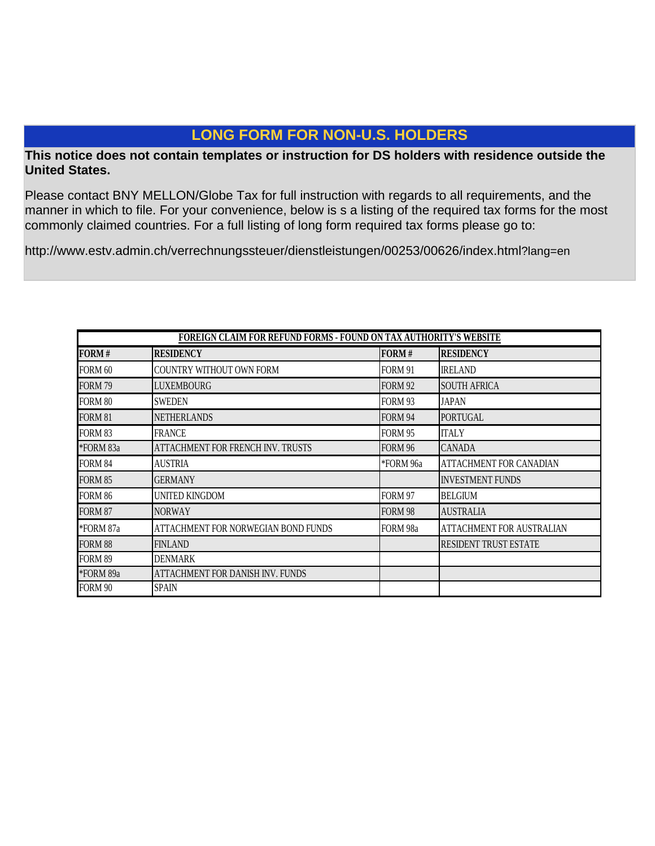# **LONG FORM FOR NON-U.S. HOLDERS**

## **This notice does not contain templates or instruction for DS holders with residence outside the United States.**

Please contact BNY MELLON/Globe Tax for full instruction with regards to all requirements, and the manner in which to file. For your convenience, below is s a listing of the required tax forms for the most commonly claimed countries. For a full listing of long form required tax forms please go to:

http://www.estv.admin.ch/verrechnungssteuer/dienstleistungen/00253/00626/index.html?lang=en

| FOREIGN CLAIM FOR REFUND FORMS - FOUND ON TAX AUTHORITY'S WEBSITE |                                          |                |                                |
|-------------------------------------------------------------------|------------------------------------------|----------------|--------------------------------|
| FORM#                                                             | <b>RESIDENCY</b>                         | FORM#          | <b>RESIDENCY</b>               |
| FORM 60                                                           | COUNTRY WITHOUT OWN FORM                 | <b>FORM 91</b> | <b>IRELAND</b>                 |
| FORM 79                                                           | <b>LUXEMBOURG</b>                        | <b>FORM 92</b> | <b>SOUTH AFRICA</b>            |
| FORM 80                                                           | <b>SWEDEN</b>                            | FORM 93        | <b>JAPAN</b>                   |
| <b>FORM 81</b>                                                    | <b>NETHERLANDS</b>                       | FORM 94        | <b>PORTUGAL</b>                |
| <b>FORM 83</b>                                                    | <b>FRANCE</b>                            | <b>FORM 95</b> | <b>ITALY</b>                   |
| *FORM 83a                                                         | <b>ATTACHMENT FOR FRENCH INV. TRUSTS</b> | <b>FORM 96</b> | <b>CANADA</b>                  |
| FORM 84                                                           | AUSTRIA                                  | *FORM 96a      | <b>ATTACHMENT FOR CANADIAN</b> |
| <b>FORM 85</b>                                                    | <b>GERMANY</b>                           |                | <b>INVESTMENT FUNDS</b>        |
| FORM 86                                                           | UNITED KINGDOM                           | <b>FORM 97</b> | <b>BELGIUM</b>                 |
| <b>FORM 87</b>                                                    | <b>NORWAY</b>                            | <b>FORM 98</b> | <b>AUSTRALIA</b>               |
| *FORM 87a                                                         | ATTACHMENT FOR NORWEGIAN BOND FUNDS      | FORM 98a       | ATTACHMENT FOR AUSTRALIAN      |
| <b>FORM 88</b>                                                    | <b>FINLAND</b>                           |                | <b>RESIDENT TRUST ESTATE</b>   |
| FORM 89                                                           | <b>DENMARK</b>                           |                |                                |
| *FORM 89a                                                         | ATTACHMENT FOR DANISH INV. FUNDS         |                |                                |
| FORM 90                                                           | <b>SPAIN</b>                             |                |                                |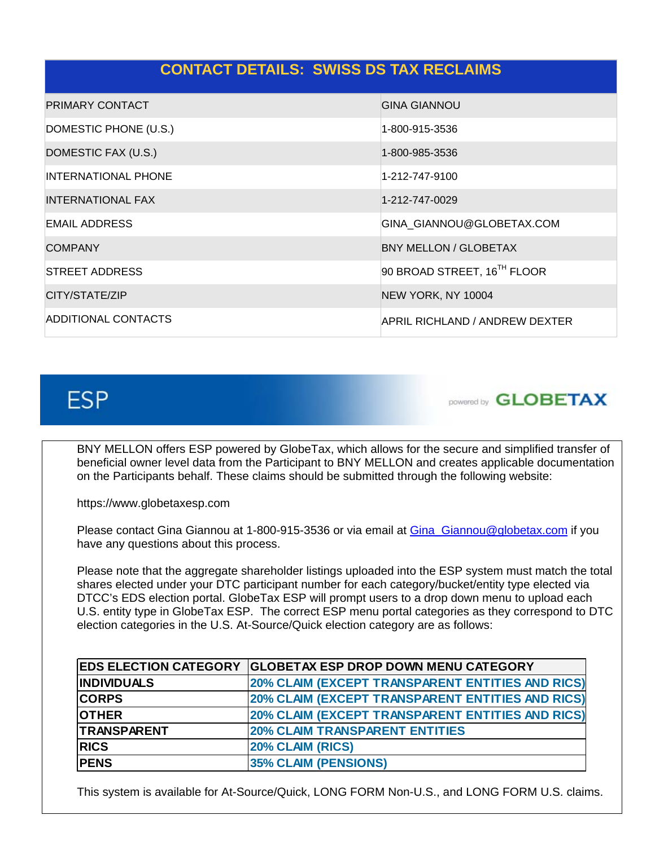| <b>CONTACT DETAILS: SWISS DS TAX RECLAIMS</b> |                                |
|-----------------------------------------------|--------------------------------|
| <b>PRIMARY CONTACT</b>                        | <b>GINA GIANNOU</b>            |
| DOMESTIC PHONE (U.S.)                         | 1-800-915-3536                 |
| DOMESTIC FAX (U.S.)                           | 1-800-985-3536                 |
| <b>INTERNATIONAL PHONE</b>                    | 1-212-747-9100                 |
| <b>INTERNATIONAL FAX</b>                      | 1-212-747-0029                 |
| <b>EMAIL ADDRESS</b>                          | GINA_GIANNOU@GLOBETAX.COM      |
| <b>COMPANY</b>                                | <b>BNY MELLON / GLOBETAX</b>   |
| STREET ADDRESS                                | 90 BROAD STREET, 16TH FLOOR    |
| CITY/STATE/ZIP                                | NEW YORK, NY 10004             |
| ADDITIONAL CONTACTS                           | APRIL RICHLAND / ANDREW DEXTER |

# **ESP**



BNY MELLON offers ESP powered by GlobeTax, which allows for the secure and simplified transfer of beneficial owner level data from the Participant to BNY MELLON and creates applicable documentation on the Participants behalf. These claims should be submitted through the following website:

https://www.globetaxesp.com

Please contact Gina Giannou at 1-800-915-3536 or via email at Gina Giannou@globetax.com if you have any questions about this process.

Please note that the aggregate shareholder listings uploaded into the ESP system must match the total shares elected under your DTC participant number for each category/bucket/entity type elected via DTCC's EDS election portal. GlobeTax ESP will prompt users to a drop down menu to upload each U.S. entity type in GlobeTax ESP. The correct ESP menu portal categories as they correspond to DTC election categories in the U.S. At-Source/Quick election category are as follows:

|                    | <b>EDS ELECTION CATEGORY GLOBETAX ESP DROP DOWN MENU CATEGORY</b> |
|--------------------|-------------------------------------------------------------------|
| <b>INDIVIDUALS</b> | 20% CLAIM (EXCEPT TRANSPARENT ENTITIES AND RICS)                  |
| <b>CORPS</b>       | 20% CLAIM (EXCEPT TRANSPARENT ENTITIES AND RICS)                  |
| <b>OTHER</b>       | 20% CLAIM (EXCEPT TRANSPARENT ENTITIES AND RICS)                  |
| TRANSPARENT        | <b>20% CLAIM TRANSPARENT ENTITIES</b>                             |
| <b>RICS</b>        | 20% CLAIM (RICS)                                                  |
| <b>PENS</b>        | <b>35% CLAIM (PENSIONS)</b>                                       |

This system is available for At-Source/Quick, LONG FORM Non-U.S., and LONG FORM U.S. claims.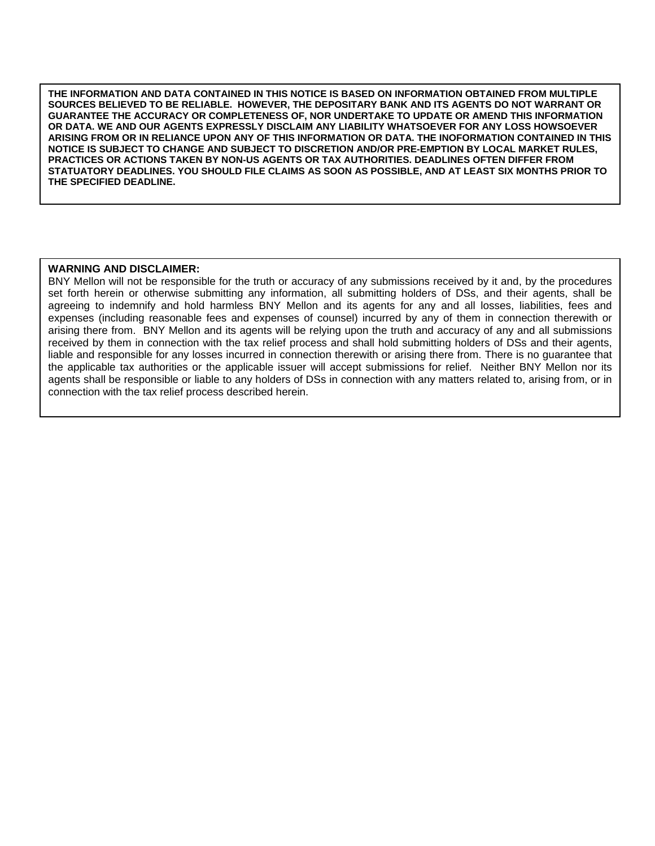**GUARANTEE THE ACCURACY OR COMPLETENESS OF, NOR UNDERTAKE TO UPDATE OR AMEND THIS INFORMATION THE INFORMATION AND DATA CONTAINED IN THIS NOTICE IS BASED ON INFORMATION OBTAINED FROM MULTIPLE SOURCES BELIEVED TO BE RELIABLE. HOWEVER, THE DEPOSITARY BANK AND ITS AGENTS DO NOT WARRANT OR OR DATA. WE AND OUR AGENTS EXPRESSLY DISCLAIM ANY LIABILITY WHATSOEVER FOR ANY LOSS HOWSOEVER ARISING FROM OR IN RELIANCE UPON ANY OF THIS INFORMATION OR DATA. THE INOFORMATION CONTAINED IN THIS NOTICE IS SUBJECT TO CHANGE AND SUBJECT TO DISCRETION AND/OR PRE-EMPTION BY LOCAL MARKET RULES, PRACTICES OR ACTIONS TAKEN BY NON-US AGENTS OR TAX AUTHORITIES. DEADLINES OFTEN DIFFER FROM STATUATORY DEADLINES. YOU SHOULD FILE CLAIMS AS SOON AS POSSIBLE, AND AT LEAST SIX MONTHS PRIOR TO THE SPECIFIED DEADLINE.** 

### **WARNING AND DISCLAIMER:**

 $\overline{a}$ 

BNY Mellon will not be responsible for the truth or accuracy of any submissions received by it and, by the procedures set forth herein or otherwise submitting any information, all submitting holders of DSs, and their agents, shall be agreeing to indemnify and hold harmless BNY Mellon and its agents for any and all losses, liabilities, fees and expenses (including reasonable fees and expenses of counsel) incurred by any of them in connection therewith or arising there from. BNY Mellon and its agents will be relying upon the truth and accuracy of any and all submissions received by them in connection with the tax relief process and shall hold submitting holders of DSs and their agents, liable and responsible for any losses incurred in connection therewith or arising there from. There is no guarantee that the applicable tax authorities or the applicable issuer will accept submissions for relief. Neither BNY Mellon nor its agents shall be responsible or liable to any holders of DSs in connection with any matters related to, arising from, or in connection with the tax relief process described herein.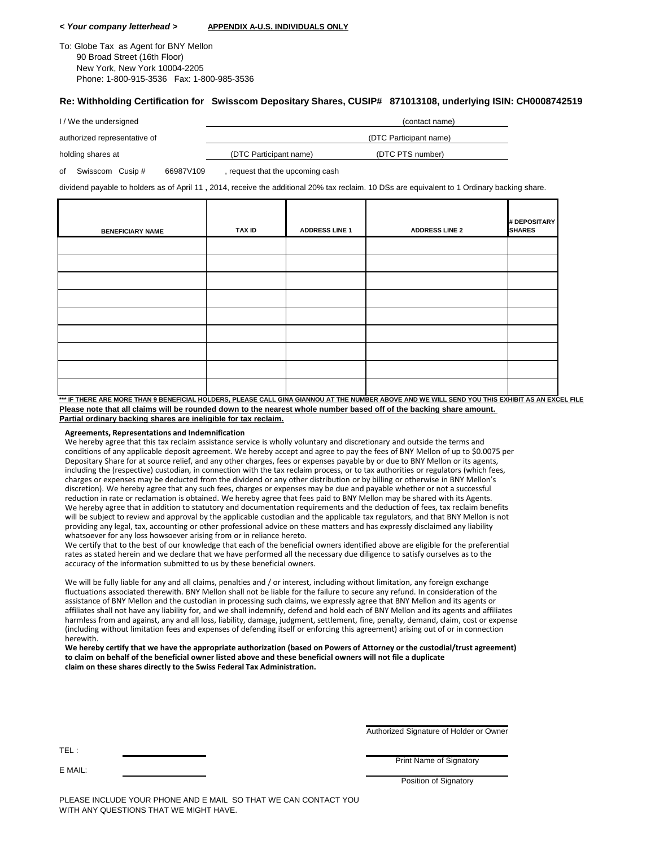#### *< Your company letterhead >* **APPENDIX A-U.S. INDIVIDUALS ONLY**

To: Globe Tax as Agent for BNY Mellon 90 Broad Street (16th Floor) New York, New York 10004-2205 Phone: 1-800-915-3536 Fax: 1-800-985-3536

#### **Re: Withholding Certification for Swisscom Depositary Shares, CUSIP# 871013108, underlying ISIN: CH0008742519**

| I/We the undersigned         |                        | (contact name)   |
|------------------------------|------------------------|------------------|
| authorized representative of | (DTC Participant name) |                  |
| holding shares at            | (DTC Participant name) | (DTC PTS number) |

of Swisscom Cusip # 66987V109 , request that the upcoming cash

dividend payable to holders as of April 11 **,** 2014, receive the additional 20% tax reclaim. 10 DSs are equivalent to 1 Ordinary backing share.

| <b>BENEFICIARY NAME</b> | TAX ID | <b>ADDRESS LINE 1</b> | <b>ADDRESS LINE 2</b> | # DEPOSITARY<br><b>SHARES</b> |
|-------------------------|--------|-----------------------|-----------------------|-------------------------------|
|                         |        |                       |                       |                               |
|                         |        |                       |                       |                               |
|                         |        |                       |                       |                               |
|                         |        |                       |                       |                               |
|                         |        |                       |                       |                               |
|                         |        |                       |                       |                               |
|                         |        |                       |                       |                               |
|                         |        |                       |                       |                               |
|                         |        |                       |                       |                               |

**\*\*\* IF THERE ARE MORE THAN 9 BENEFICIAL HOLDERS, PLEASE CALL GINA GIANNOU AT THE NUMBER ABOVE AND WE WILL SEND YOU THIS EXHIBIT AS AN EXCEL FILE Please note that all claims will be rounded down to the nearest whole number based off of the backing share amount. Partial ordinary backing shares are ineligible for tax reclaim.**

#### **Agreements, Representations and Indemnification**

We hereby agree that this tax reclaim assistance service is wholly voluntary and discretionary and outside the terms and conditions of any applicable deposit agreement. We hereby accept and agree to pay the fees of BNY Mellon of up to \$0.0075 per Depositary Share for at source relief, and any other charges, fees or expenses payable by or due to BNY Mellon or its agents, including the (respective) custodian, in connection with the tax reclaim process, or to tax authorities or regulators (which fees, charges or expenses may be deducted from the dividend or any other distribution or by billing or otherwise in BNY Mellon's discretion). We hereby agree that any such fees, charges or expenses may be due and payable whether or not a successful reduction in rate or reclamation is obtained. We hereby agree that fees paid to BNY Mellon may be shared with its Agents. We hereby agree that in addition to statutory and documentation requirements and the deduction of fees, tax reclaim benefits will be subject to review and approval by the applicable custodian and the applicable tax regulators, and that BNY Mellon is not providing any legal, tax, accounting or other professional advice on these matters and has expressly disclaimed any liability whatsoever for any loss howsoever arising from or in reliance hereto.

We certify that to the best of our knowledge that each of the beneficial owners identified above are eligible for the preferential rates as stated herein and we declare that we have performed all the necessary due diligence to satisfy ourselves as to the accuracy of the information submitted to us by these beneficial owners.

We will be fully liable for any and all claims, penalties and / or interest, including without limitation, any foreign exchange fluctuations associated therewith. BNY Mellon shall not be liable for the failure to secure any refund. In consideration of the assistance of BNY Mellon and the custodian in processing such claims, we expressly agree that BNY Mellon and its agents or affiliates shall not have any liability for, and we shall indemnify, defend and hold each of BNY Mellon and its agents and affiliates harmless from and against, any and all loss, liability, damage, judgment, settlement, fine, penalty, demand, claim, cost or expense (including without limitation fees and expenses of defending itself or enforcing this agreement) arising out of or in connection herewith.

We hereby certify that we have the appropriate authorization (based on Powers of Attorney or the custodial/trust agreement) to claim on behalf of the beneficial owner listed above and these beneficial owners will not file a duplicate **claim on these shares directly to the Swiss Federal Tax Administration.**

Authorized Signature of Holder or Owner

Print Name of Signatory

E MAIL:

Position of Signatory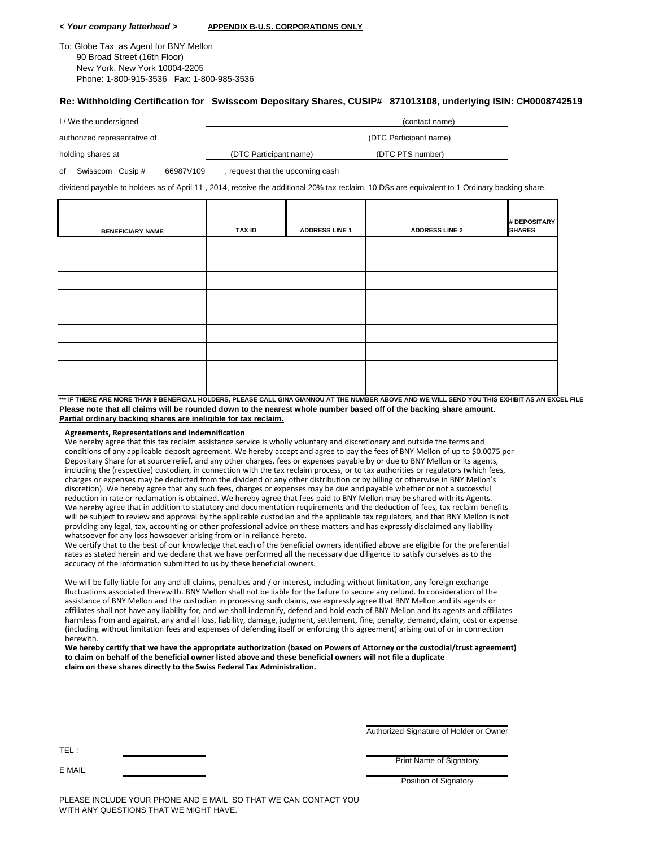#### *< Your company letterhead >* **APPENDIX B-U.S. CORPORATIONS ONLY**

To: Globe Tax as Agent for BNY Mellon 90 Broad Street (16th Floor) New York, New York 10004-2205 Phone: 1-800-915-3536 Fax: 1-800-985-3536

#### **Re: Withholding Certification for Swisscom Depositary Shares, CUSIP# 871013108, underlying ISIN: CH0008742519**

| I/We the undersigned         |                        | (contact name)         |
|------------------------------|------------------------|------------------------|
| authorized representative of |                        | (DTC Participant name) |
| holding shares at            | (DTC Participant name) | (DTC PTS number)       |

of Swisscom Cusip # 66987V109 , request that the upcoming cash

dividend payable to holders as of April 11 , 2014, receive the additional 20% tax reclaim. 10 DSs are equivalent to 1 Ordinary backing share.

| <b>BENEFICIARY NAME</b> | TAX ID | <b>ADDRESS LINE 1</b> | <b>ADDRESS LINE 2</b> | # DEPOSITARY<br><b>SHARES</b> |
|-------------------------|--------|-----------------------|-----------------------|-------------------------------|
|                         |        |                       |                       |                               |
|                         |        |                       |                       |                               |
|                         |        |                       |                       |                               |
|                         |        |                       |                       |                               |
|                         |        |                       |                       |                               |
|                         |        |                       |                       |                               |
|                         |        |                       |                       |                               |
|                         |        |                       |                       |                               |
|                         |        |                       |                       |                               |

**\*\*\* IF THERE ARE MORE THAN 9 BENEFICIAL HOLDERS, PLEASE CALL GINA GIANNOU AT THE NUMBER ABOVE AND WE WILL SEND YOU THIS EXHIBIT AS AN EXCEL FILE Please note that all claims will be rounded down to the nearest whole number based off of the backing share amount. Partial ordinary backing shares are ineligible for tax reclaim.**

#### **Agreements, Representations and Indemnification**

We hereby agree that this tax reclaim assistance service is wholly voluntary and discretionary and outside the terms and conditions of any applicable deposit agreement. We hereby accept and agree to pay the fees of BNY Mellon of up to \$0.0075 per Depositary Share for at source relief, and any other charges, fees or expenses payable by or due to BNY Mellon or its agents, including the (respective) custodian, in connection with the tax reclaim process, or to tax authorities or regulators (which fees, charges or expenses may be deducted from the dividend or any other distribution or by billing or otherwise in BNY Mellon's discretion). We hereby agree that any such fees, charges or expenses may be due and payable whether or not a successful reduction in rate or reclamation is obtained. We hereby agree that fees paid to BNY Mellon may be shared with its Agents. We hereby agree that in addition to statutory and documentation requirements and the deduction of fees, tax reclaim benefits will be subject to review and approval by the applicable custodian and the applicable tax regulators, and that BNY Mellon is not providing any legal, tax, accounting or other professional advice on these matters and has expressly disclaimed any liability whatsoever for any loss howsoever arising from or in reliance hereto.

We certify that to the best of our knowledge that each of the beneficial owners identified above are eligible for the preferential rates as stated herein and we declare that we have performed all the necessary due diligence to satisfy ourselves as to the accuracy of the information submitted to us by these beneficial owners.

We will be fully liable for any and all claims, penalties and / or interest, including without limitation, any foreign exchange fluctuations associated therewith. BNY Mellon shall not be liable for the failure to secure any refund. In consideration of the assistance of BNY Mellon and the custodian in processing such claims, we expressly agree that BNY Mellon and its agents or affiliates shall not have any liability for, and we shall indemnify, defend and hold each of BNY Mellon and its agents and affiliates harmless from and against, any and all loss, liability, damage, judgment, settlement, fine, penalty, demand, claim, cost or expense (including without limitation fees and expenses of defending itself or enforcing this agreement) arising out of or in connection herewith.

We hereby certify that we have the appropriate authorization (based on Powers of Attorney or the custodial/trust agreement) to claim on behalf of the beneficial owner listed above and these beneficial owners will not file a duplicate **claim on these shares directly to the Swiss Federal Tax Administration.**

Authorized Signature of Holder or Owner

Print Name of Signatory

E MAIL:

Position of Signatory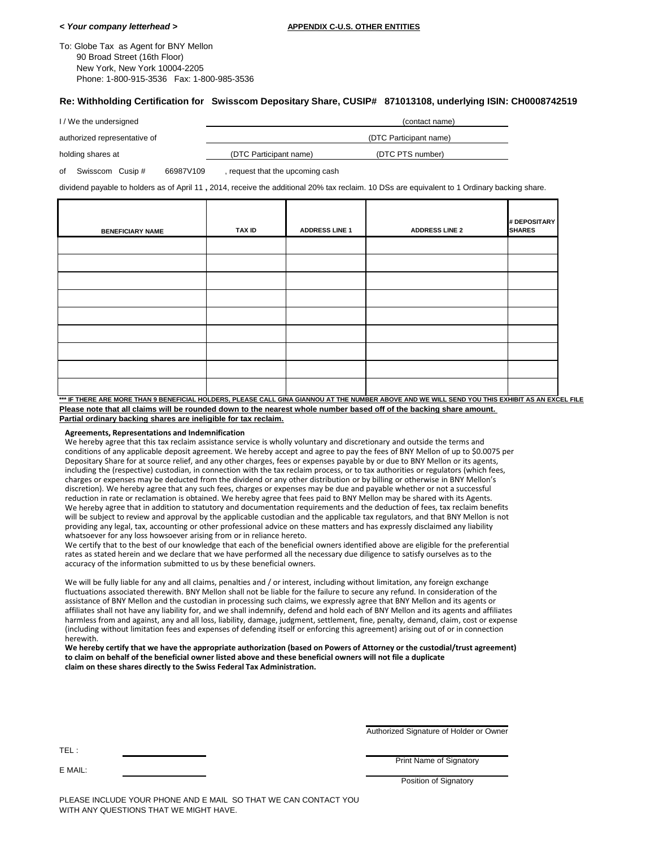| To: Globe Tax as Agent for BNY Mellon      |  |
|--------------------------------------------|--|
| 90 Broad Street (16th Floor)               |  |
| New York, New York 10004-2205              |  |
| Phone: 1-800-915-3536  Fax: 1-800-985-3536 |  |

#### **Re: Withholding Certification for Swisscom Depositary Share, CUSIP# 871013108, underlying ISIN: CH0008742519**

| I/We the undersigned         |                        | (contact name)         |  |
|------------------------------|------------------------|------------------------|--|
| authorized representative of |                        | (DTC Participant name) |  |
| holding shares at            | (DTC Participant name) | (DTC PTS number)       |  |

of Swisscom Cusip # 66987V109 , request that the upcoming cash

dividend payable to holders as of April 11 **,** 2014, receive the additional 20% tax reclaim. 10 DSs are equivalent to 1 Ordinary backing share.

| <b>BENEFICIARY NAME</b> | TAX ID | <b>ADDRESS LINE 1</b> | <b>ADDRESS LINE 2</b> | # DEPOSITARY<br><b>SHARES</b> |
|-------------------------|--------|-----------------------|-----------------------|-------------------------------|
|                         |        |                       |                       |                               |
|                         |        |                       |                       |                               |
|                         |        |                       |                       |                               |
|                         |        |                       |                       |                               |
|                         |        |                       |                       |                               |
|                         |        |                       |                       |                               |
|                         |        |                       |                       |                               |
|                         |        |                       |                       |                               |
|                         |        |                       |                       |                               |

**\*\*\* IF THERE ARE MORE THAN 9 BENEFICIAL HOLDERS, PLEASE CALL GINA GIANNOU AT THE NUMBER ABOVE AND WE WILL SEND YOU THIS EXHIBIT AS AN EXCEL FILE Please note that all claims will be rounded down to the nearest whole number based off of the backing share amount. Partial ordinary backing shares are ineligible for tax reclaim.**

#### **Agreements, Representations and Indemnification**

We hereby agree that this tax reclaim assistance service is wholly voluntary and discretionary and outside the terms and conditions of any applicable deposit agreement. We hereby accept and agree to pay the fees of BNY Mellon of up to \$0.0075 per Depositary Share for at source relief, and any other charges, fees or expenses payable by or due to BNY Mellon or its agents, including the (respective) custodian, in connection with the tax reclaim process, or to tax authorities or regulators (which fees, charges or expenses may be deducted from the dividend or any other distribution or by billing or otherwise in BNY Mellon's discretion). We hereby agree that any such fees, charges or expenses may be due and payable whether or not a successful reduction in rate or reclamation is obtained. We hereby agree that fees paid to BNY Mellon may be shared with its Agents. We hereby agree that in addition to statutory and documentation requirements and the deduction of fees, tax reclaim benefits will be subject to review and approval by the applicable custodian and the applicable tax regulators, and that BNY Mellon is not providing any legal, tax, accounting or other professional advice on these matters and has expressly disclaimed any liability whatsoever for any loss howsoever arising from or in reliance hereto.

We certify that to the best of our knowledge that each of the beneficial owners identified above are eligible for the preferential rates as stated herein and we declare that we have performed all the necessary due diligence to satisfy ourselves as to the accuracy of the information submitted to us by these beneficial owners.

We will be fully liable for any and all claims, penalties and / or interest, including without limitation, any foreign exchange fluctuations associated therewith. BNY Mellon shall not be liable for the failure to secure any refund. In consideration of the assistance of BNY Mellon and the custodian in processing such claims, we expressly agree that BNY Mellon and its agents or affiliates shall not have any liability for, and we shall indemnify, defend and hold each of BNY Mellon and its agents and affiliates harmless from and against, any and all loss, liability, damage, judgment, settlement, fine, penalty, demand, claim, cost or expense (including without limitation fees and expenses of defending itself or enforcing this agreement) arising out of or in connection herewith.

We hereby certify that we have the appropriate authorization (based on Powers of Attorney or the custodial/trust agreement) to claim on behalf of the beneficial owner listed above and these beneficial owners will not file a duplicate **claim on these shares directly to the Swiss Federal Tax Administration.**

Authorized Signature of Holder or Owner

Print Name of Signatory

E MAIL:

**Position of Signatory**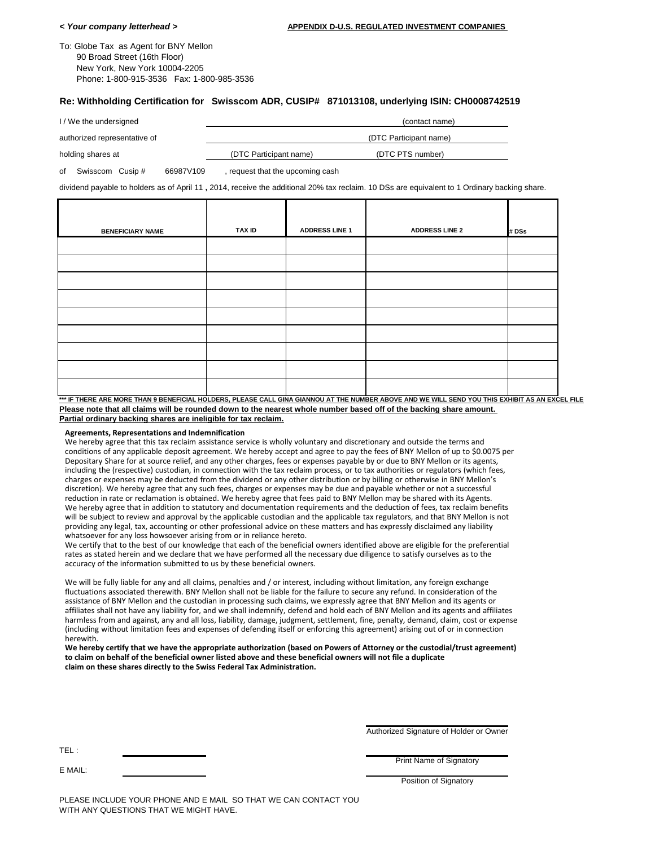To: Globe Tax as Agent for BNY Mellon 90 Broad Street (16th Floor) New York, New York 10004-2205 Phone: 1-800-915-3536 Fax: 1-800-985-3536

#### **Re: Withholding Certification for Swisscom ADR, CUSIP# 871013108, underlying ISIN: CH0008742519**

| I/We the undersigned         |                        | (contact name)         |
|------------------------------|------------------------|------------------------|
| authorized representative of |                        | (DTC Participant name) |
| holding shares at            | (DTC Participant name) | (DTC PTS number)       |

of Swisscom Cusip # 66987V109 , request that the upcoming cash

dividend payable to holders as of April 11 **,** 2014, receive the additional 20% tax reclaim. 10 DSs are equivalent to 1 Ordinary backing share.

| <b>BENEFICIARY NAME</b> | TAX ID | <b>ADDRESS LINE 1</b> | <b>ADDRESS LINE 2</b> | # DSs |
|-------------------------|--------|-----------------------|-----------------------|-------|
|                         |        |                       |                       |       |
|                         |        |                       |                       |       |
|                         |        |                       |                       |       |
|                         |        |                       |                       |       |
|                         |        |                       |                       |       |
|                         |        |                       |                       |       |
|                         |        |                       |                       |       |
|                         |        |                       |                       |       |
|                         |        |                       |                       |       |

**\*\*\* IF THERE ARE MORE THAN 9 BENEFICIAL HOLDERS, PLEASE CALL GINA GIANNOU AT THE NUMBER ABOVE AND WE WILL SEND YOU THIS EXHIBIT AS AN EXCEL FILE Please note that all claims will be rounded down to the nearest whole number based off of the backing share amount. Partial ordinary backing shares are ineligible for tax reclaim.**

#### **Agreements, Representations and Indemnification**

We hereby agree that this tax reclaim assistance service is wholly voluntary and discretionary and outside the terms and conditions of any applicable deposit agreement. We hereby accept and agree to pay the fees of BNY Mellon of up to \$0.0075 per Depositary Share for at source relief, and any other charges, fees or expenses payable by or due to BNY Mellon or its agents, including the (respective) custodian, in connection with the tax reclaim process, or to tax authorities or regulators (which fees, charges or expenses may be deducted from the dividend or any other distribution or by billing or otherwise in BNY Mellon's discretion). We hereby agree that any such fees, charges or expenses may be due and payable whether or not a successful reduction in rate or reclamation is obtained. We hereby agree that fees paid to BNY Mellon may be shared with its Agents. We hereby agree that in addition to statutory and documentation requirements and the deduction of fees, tax reclaim benefits will be subject to review and approval by the applicable custodian and the applicable tax regulators, and that BNY Mellon is not providing any legal, tax, accounting or other professional advice on these matters and has expressly disclaimed any liability whatsoever for any loss howsoever arising from or in reliance hereto.

We certify that to the best of our knowledge that each of the beneficial owners identified above are eligible for the preferential rates as stated herein and we declare that we have performed all the necessary due diligence to satisfy ourselves as to the accuracy of the information submitted to us by these beneficial owners.

We will be fully liable for any and all claims, penalties and / or interest, including without limitation, any foreign exchange fluctuations associated therewith. BNY Mellon shall not be liable for the failure to secure any refund. In consideration of the assistance of BNY Mellon and the custodian in processing such claims, we expressly agree that BNY Mellon and its agents or affiliates shall not have any liability for, and we shall indemnify, defend and hold each of BNY Mellon and its agents and affiliates harmless from and against, any and all loss, liability, damage, judgment, settlement, fine, penalty, demand, claim, cost or expense (including without limitation fees and expenses of defending itself or enforcing this agreement) arising out of or in connection herewith.

We hereby certify that we have the appropriate authorization (based on Powers of Attorney or the custodial/trust agreement) to claim on behalf of the beneficial owner listed above and these beneficial owners will not file a duplicate **claim on these shares directly to the Swiss Federal Tax Administration.**

Authorized Signature of Holder or Owner

Print Name of Signatory

E MAIL:

Position of Signatory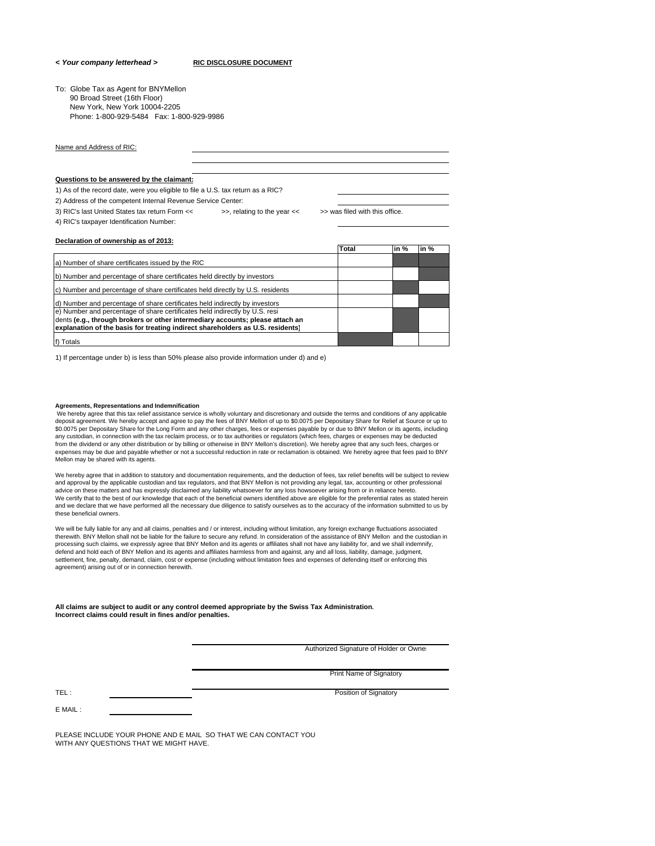#### *< Your company letterhead >* **RIC DISCLOSURE DOCUMENT**

To: Globe Tax as Agent for BNYMellon 90 Broad Street (16th Floor) New York, New York 10004-2205 Phone: 1-800-929-5484 Fax: 1-800-929-9986

Name and Address of RIC:

#### **Questions to be answered by the claimant:**

**Declaration of ownership as of 2013:**

1) As of the record date, were you eligible to file a U.S. tax return as a RIC?

2) Address of the competent Internal Revenue Service Center:

3) RIC's last United States tax return Form << >>, relating to the year << >> was filed with this office. 4) RIC's taxpayer Identification Number:

|                                                                                | Total | in $%$ | in $%$ |
|--------------------------------------------------------------------------------|-------|--------|--------|
| a) Number of share certificates issued by the RIC                              |       |        |        |
| b) Number and percentage of share certificates held directly by investors      |       |        |        |
| c) Number and percentage of share certificates held directly by U.S. residents |       |        |        |
| d) Number and percentage of share certificates held indirectly by investors    |       |        |        |
| e) Number and percentage of share certificates held indirectly by U.S. resi-   |       |        |        |
| dents (e.g., through brokers or other intermediary accounts; please attach an  |       |        |        |
| explanation of the basis for treating indirect shareholders as U.S. residents) |       |        |        |
| f) Totals                                                                      |       |        |        |

1) If percentage under b) is less than 50% please also provide information under d) and e)

#### **Agreements, Representations and Indemnification**

We hereby agree that this tax relief assistance service is wholly voluntary and discretionary and outside the terms and conditions of any applicable<br>deposit agreement. We hereby accept and agree to pay the fees of BNY Mell \$0.0075 per Depositary Share for the Long Form and any other charges, fees or expenses payable by or due to BNY Mellon or its agents, including any custodian, in connection with the tax reclaim process, or to tax authorities or regulators (which fees, charges or expenses may be deducted from the dividend or any other distribution or by billing or otherwise in BNY Mellon's discretion). We hereby agree that any such fees, charges or expenses may be due and payable whether or not a successful reduction in rate or reclamation is obtained. We hereby agree that fees paid to BNY Mellon may be shared with its agents.

We hereby agree that in addition to statutory and documentation requirements, and the deduction of fees, tax relief benefits will be subject to review<br>and approval by the applicable custodian and tax regulators, and that B advice on these matters and has expressly disclaimed any liability whatsoever for any loss howsoever arising from or in reliance hereto. We certify that to the best of our knowledge that each of the beneficial owners identified above are eligible for the preferential rates as stated herein and we declare that we have performed all the necessary due diligence to satisfy ourselves as to the accuracy of the information submitted to us by these beneficial owners.

We will be fully liable for any and all claims, penalties and / or interest, including without limitation, any foreign exchange fluctuations associated<br>therewith. BNY Mellon shall not be liable for the failure to secure an processing such claims, we expressly agree that BNY Mellon and its agents or affiliates shall not have any liability for, and we shall indemnify, defend and hold each of BNY Mellon and its agents and affiliates harmless from and against, any and all loss, liability, damage, judgment, settlement, fine, penalty, demand, claim, cost or expense (including without limitation fees and expenses of defending itself or enforcing this agreement) arising out of or in connection herewith.

**All claims are subject to audit or any control deemed appropriate by the Swiss Tax Administration. Incorrect claims could result in fines and/or penalties.**

Authorized Signature of Holder or Owner

Print Name of Signatory

TEL : Position of Signatory and Technology and Technology and Technology and Technology and Technology and Technology and Technology and Technology and Technology and Technology and Technology and Technology and Technology

E MAIL :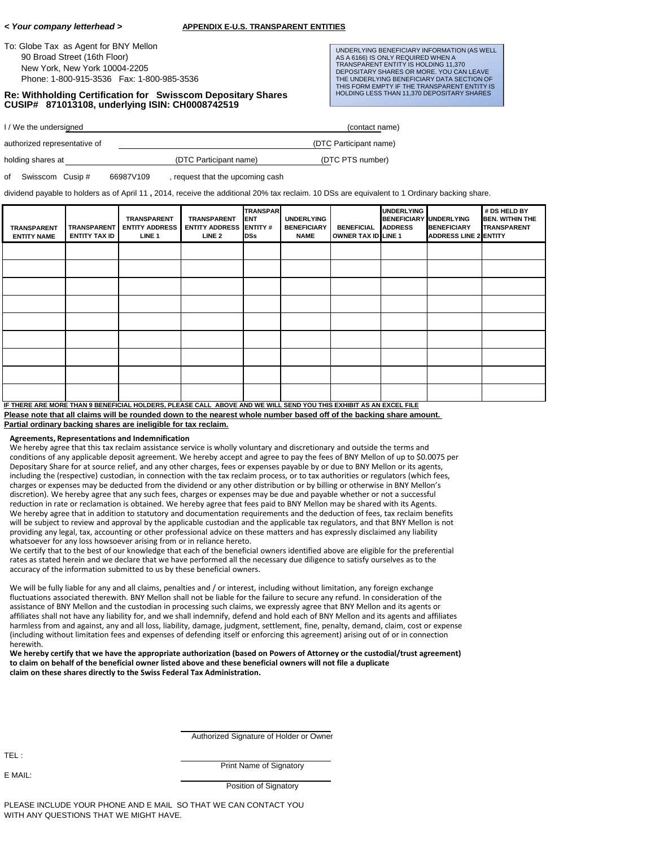To: Globe Tax as Agent for BNY Mellon 90 Broad Street (16th Floor) New York, New York 10004-2205 Phone: 1-800-915-3536 Fax: 1-800-985-3536

**Re: Withholding Certification for Swisscom Depositary Shares CUSIP# 871013108, underlying ISIN: CH0008742519**

UNDERLYING BENEFICIARY INFORMATION (AS WELL AS A 6166) IS ONLY REQUIRED WHEN A TRANSPARENT ENTITY IS HOLDING 11,370 DEPOSITARY SHARES OR MORE. YOU CAN LEAVE THE UNDERLYING BENEFICIARY DATA SECTION OF THIS FORM EMPTY IF THE TRANSPARENT ENTITY IS HOLDING LESS THAN 11,370 DEPOSITARY SHARES

I / We the undersigned (contact name)

authorized representative of (DTC Participant name) holding shares at  $(DTC \text{ Participant name})$  (DTC PTS number)

of Swisscom Cusip # 66987V109 , request that the upcoming cash

dividend payable to holders as of April 11 **,** 2014, receive the additional 20% tax reclaim. 10 DSs are equivalent to 1 Ordinary backing share.

| <b>TRANSPARENT</b><br><b>ENTITY NAME</b>                                                                          | <b>TRANSPARENT</b><br>ENTITY TAX ID | <b>TRANSPARENT</b><br><b>ENTITY ADDRESS</b><br>LINE <sub>1</sub> | <b>TRANSPARENT</b><br><b>ENTITY ADDRESS ENTITY#</b><br>LINE <sub>2</sub> | <b>TRANSPAR</b><br><b>IENT</b><br>DSs | <b>UNDERLYING</b><br><b>BENEFICIARY</b><br><b>NAME</b> | <b>BENEFICIAL</b><br><b>OWNER TAX ID LINE 1</b> | <b>UNDERLYING</b><br><b>BENEFICIARY UNDERLYING</b><br><b>ADDRESS</b> | <b>BENEFICIARY</b><br><b>ADDRESS LINE 2 ENTITY</b> | # DS HELD BY<br><b>BEN. WITHIN THE</b><br><b>TRANSPARENT</b> |
|-------------------------------------------------------------------------------------------------------------------|-------------------------------------|------------------------------------------------------------------|--------------------------------------------------------------------------|---------------------------------------|--------------------------------------------------------|-------------------------------------------------|----------------------------------------------------------------------|----------------------------------------------------|--------------------------------------------------------------|
|                                                                                                                   |                                     |                                                                  |                                                                          |                                       |                                                        |                                                 |                                                                      |                                                    |                                                              |
|                                                                                                                   |                                     |                                                                  |                                                                          |                                       |                                                        |                                                 |                                                                      |                                                    |                                                              |
|                                                                                                                   |                                     |                                                                  |                                                                          |                                       |                                                        |                                                 |                                                                      |                                                    |                                                              |
|                                                                                                                   |                                     |                                                                  |                                                                          |                                       |                                                        |                                                 |                                                                      |                                                    |                                                              |
|                                                                                                                   |                                     |                                                                  |                                                                          |                                       |                                                        |                                                 |                                                                      |                                                    |                                                              |
|                                                                                                                   |                                     |                                                                  |                                                                          |                                       |                                                        |                                                 |                                                                      |                                                    |                                                              |
|                                                                                                                   |                                     |                                                                  |                                                                          |                                       |                                                        |                                                 |                                                                      |                                                    |                                                              |
|                                                                                                                   |                                     |                                                                  |                                                                          |                                       |                                                        |                                                 |                                                                      |                                                    |                                                              |
|                                                                                                                   |                                     |                                                                  |                                                                          |                                       |                                                        |                                                 |                                                                      |                                                    |                                                              |
| IF THERE ARE MORE THAN 9 BENEFICIAL HOLDERS, PLEASE CALL ABOVE AND WE WILL SEND YOU THIS EXHIBIT AS AN EXCEL FILE |                                     |                                                                  |                                                                          |                                       |                                                        |                                                 |                                                                      |                                                    |                                                              |

**Please note that all claims will be rounded down to the nearest whole number based off of the backing share amount. Partial ordinary backing shares are ineligible for tax reclaim.**

#### **Agreements, Representations and Indemnification**

We hereby agree that this tax reclaim assistance service is wholly voluntary and discretionary and outside the terms and conditions of any applicable deposit agreement. We hereby accept and agree to pay the fees of BNY Mellon of up to \$0.0075 per Depositary Share for at source relief, and any other charges, fees or expenses payable by or due to BNY Mellon or its agents, including the (respective) custodian, in connection with the tax reclaim process, or to tax authorities or regulators (which fees, charges or expenses may be deducted from the dividend or any other distribution or by billing or otherwise in BNY Mellon's discretion). We hereby agree that any such fees, charges or expenses may be due and payable whether or not a successful reduction in rate or reclamation is obtained. We hereby agree that fees paid to BNY Mellon may be shared with its Agents. We hereby agree that in addition to statutory and documentation requirements and the deduction of fees, tax reclaim benefits will be subject to review and approval by the applicable custodian and the applicable tax regulators, and that BNY Mellon is not providing any legal, tax, accounting or other professional advice on these matters and has expressly disclaimed any liability whatsoever for any loss howsoever arising from or in reliance hereto.

We certify that to the best of our knowledge that each of the beneficial owners identified above are eligible for the preferential rates as stated herein and we declare that we have performed all the necessary due diligence to satisfy ourselves as to the accuracy of the information submitted to us by these beneficial owners.

We will be fully liable for any and all claims, penalties and / or interest, including without limitation, any foreign exchange fluctuations associated therewith. BNY Mellon shall not be liable for the failure to secure any refund. In consideration of the assistance of BNY Mellon and the custodian in processing such claims, we expressly agree that BNY Mellon and its agents or affiliates shall not have any liability for, and we shall indemnify, defend and hold each of BNY Mellon and its agents and affiliates harmless from and against, any and all loss, liability, damage, judgment, settlement, fine, penalty, demand, claim, cost or expense (including without limitation fees and expenses of defending itself or enforcing this agreement) arising out of or in connection herewith.

We hereby certify that we have the appropriate authorization (based on Powers of Attorney or the custodial/trust agreement) to claim on behalf of the beneficial owner listed above and these beneficial owners will not file a duplicate **claim on these shares directly to the Swiss Federal Tax Administration.**

Authorized Signature of Holder or Owner

TEL :

E MAIL:

Print Name of Signatory

Position of Signatory